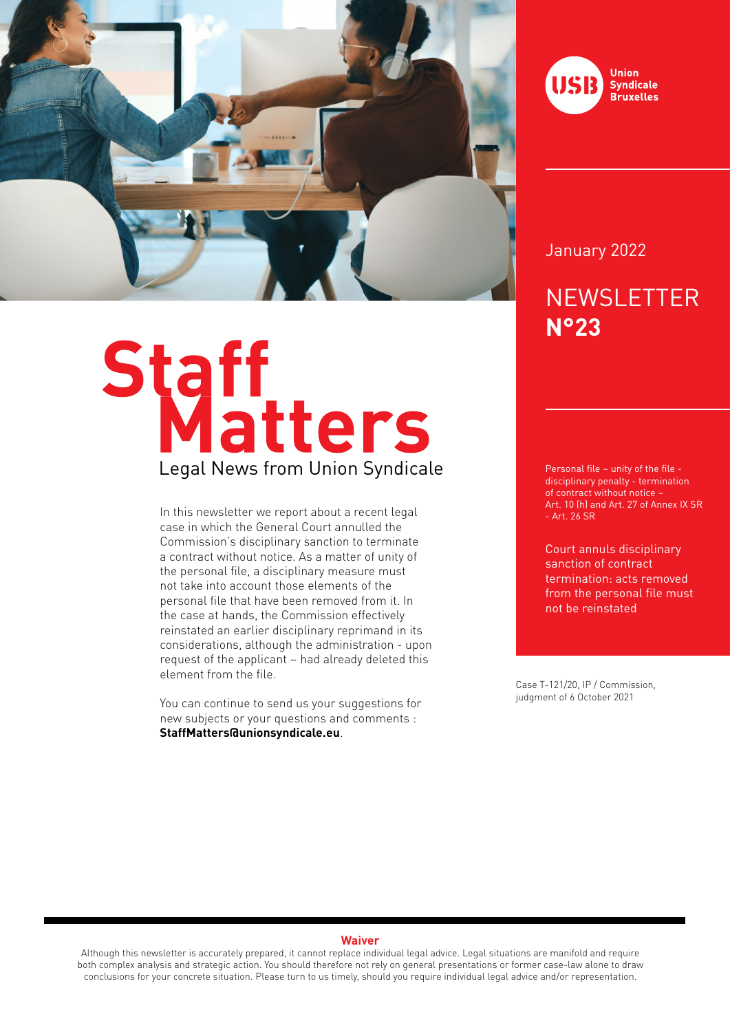

# Staff<br>Legal News from Union Syndicale

In this newsletter we report about a recent legal case in which the General Court annulled the Commission's disciplinary sanction to terminate a contract without notice. As a matter of unity of the personal file, a disciplinary measure must not take into account those elements of the personal file that have been removed from it. In the case at hands, the Commission effectively reinstated an earlier disciplinary reprimand in its considerations, although the administration - upon request of the applicant – had already deleted this element from the file.

You can continue to send us your suggestions for new subjects or your questions and comments : **StaffMatters@unionsyndicale.eu**.



#### January 2022

### **NEWSLETTER N°23**

Personal file – unity of the file disciplinary penalty - termination of contract without notice – Art. 10 (h) and Art. 27 of Annex IX SR - Art. 26 SR

Court annuls disciplinary sanction of contract termination: acts removed from the personal file must not be reinstated

Case T-121/20, IP / Commission, judgment of 6 October 2021

#### **Waiver**

Although this newsletter is accurately prepared, it cannot replace individual legal advice. Legal situations are manifold and require both complex analysis and strategic action. You should therefore not rely on general presentations or former case-law alone to draw conclusions for your concrete situation. Please turn to us timely, should you require individual legal advice and/or representation.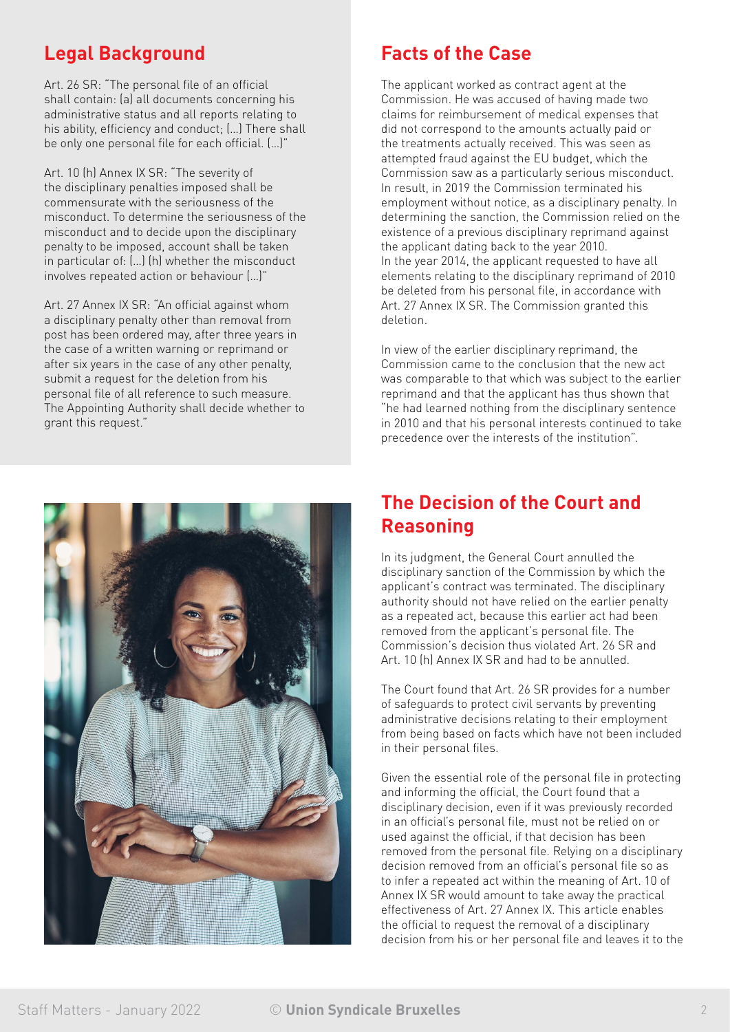#### **Legal Background**

Art. 26 SR: "The personal file of an official shall contain: (a) all documents concerning his administrative status and all reports relating to his ability, efficiency and conduct; (…) There shall be only one personal file for each official. (…)"

Art. 10 (h) Annex IX SR: "The severity of the disciplinary penalties imposed shall be commensurate with the seriousness of the misconduct. To determine the seriousness of the misconduct and to decide upon the disciplinary penalty to be imposed, account shall be taken in particular of: (…) (h) whether the misconduct involves repeated action or behaviour (…)"

Art. 27 Annex IX SR: "An official against whom a disciplinary penalty other than removal from post has been ordered may, after three years in the case of a written warning or reprimand or after six years in the case of any other penalty, submit a request for the deletion from his personal file of all reference to such measure. The Appointing Authority shall decide whether to grant this request."



#### **Facts of the Case**

The applicant worked as contract agent at the Commission. He was accused of having made two claims for reimbursement of medical expenses that did not correspond to the amounts actually paid or the treatments actually received. This was seen as attempted fraud against the EU budget, which the Commission saw as a particularly serious misconduct. In result, in 2019 the Commission terminated his employment without notice, as a disciplinary penalty. In determining the sanction, the Commission relied on the existence of a previous disciplinary reprimand against the applicant dating back to the year 2010. In the year 2014, the applicant requested to have all elements relating to the disciplinary reprimand of 2010 be deleted from his personal file, in accordance with Art. 27 Annex IX SR. The Commission granted this deletion.

In view of the earlier disciplinary reprimand, the Commission came to the conclusion that the new act was comparable to that which was subject to the earlier reprimand and that the applicant has thus shown that "he had learned nothing from the disciplinary sentence in 2010 and that his personal interests continued to take precedence over the interests of the institution".

#### **The Decision of the Court and Reasoning**

In its judgment, the General Court annulled the disciplinary sanction of the Commission by which the applicant's contract was terminated. The disciplinary authority should not have relied on the earlier penalty as a repeated act, because this earlier act had been removed from the applicant's personal file. The Commission's decision thus violated Art. 26 SR and Art. 10 (h) Annex IX SR and had to be annulled.

The Court found that Art. 26 SR provides for a number of safeguards to protect civil servants by preventing administrative decisions relating to their employment from being based on facts which have not been included in their personal files.

Given the essential role of the personal file in protecting and informing the official, the Court found that a disciplinary decision, even if it was previously recorded in an official's personal file, must not be relied on or used against the official, if that decision has been removed from the personal file. Relying on a disciplinary decision removed from an official's personal file so as to infer a repeated act within the meaning of Art. 10 of Annex IX SR would amount to take away the practical effectiveness of Art. 27 Annex IX. This article enables the official to request the removal of a disciplinary decision from his or her personal file and leaves it to the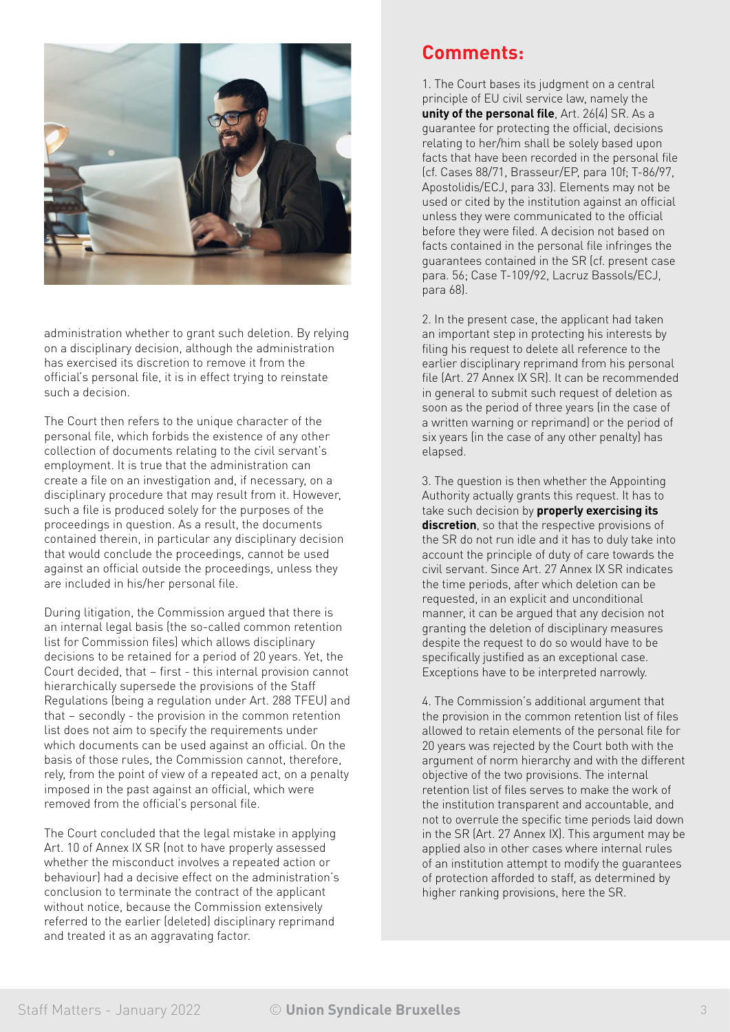

administration whether to grant such deletion. By relying on a disciplinary decision, although the administration has exercised its discretion to remove it from the official's personal file, it is in effect trying to reinstate such a decision.

The Court then refers to the unique character of the personal file, which forbids the existence of any other collection of documents relating to the civil servant's employment. It is true that the administration can create a file on an investigation and, if necessary, on a disciplinary procedure that may result from it. However, such a file is produced solely for the purposes of the proceedings in question. As a result, the documents contained therein, in particular any disciplinary decision that would conclude the proceedings, cannot be used against an official outside the proceedings, unless they are included in his/her personal file.

During litigation, the Commission argued that there is an internal legal basis (the so-called common retention list for Commission files) which allows disciplinary decisions to be retained for a period of 20 years. Yet, the Court decided, that – first - this internal provision cannot hierarchically supersede the provisions of the Staff Regulations (being a regulation under Art. 288 TFEU) and that – secondly - the provision in the common retention list does not aim to specify the requirements under which documents can be used against an official. On the basis of those rules, the Commission cannot, therefore, rely, from the point of view of a repeated act, on a penalty imposed in the past against an official, which were removed from the official's personal file.

The Court concluded that the legal mistake in applying Art. 10 of Annex IX SR (not to have properly assessed whether the misconduct involves a repeated action or behaviour) had a decisive effect on the administration's conclusion to terminate the contract of the applicant without notice, because the Commission extensively referred to the earlier (deleted) disciplinary reprimand and treated it as an aggravating factor.

#### **Comments:**

1. The Court bases its judgment on a central principle of EU civil service law, namely the **unity of the personal file**, Art. 26(4) SR. As a guarantee for protecting the official, decisions relating to her/him shall be solely based upon facts that have been recorded in the personal file (cf. Cases 88/71, Brasseur/EP, para 10f; T-86/97, Apostolidis/ECJ, para 33). Elements may not be used or cited by the institution against an official unless they were communicated to the official before they were filed. A decision not based on facts contained in the personal file infringes the guarantees contained in the SR (cf. present case para. 56; Case T-109/92, Lacruz Bassols/ECJ, para 68).

2. In the present case, the applicant had taken an important step in protecting his interests by filing his request to delete all reference to the earlier disciplinary reprimand from his personal file (Art. 27 Annex IX SR). It can be recommended in general to submit such request of deletion as soon as the period of three years (in the case of a written warning or reprimand) or the period of six years (in the case of any other penalty) has elapsed.

3. The question is then whether the Appointing Authority actually grants this request. It has to take such decision by **properly exercising its discretion**, so that the respective provisions of the SR do not run idle and it has to duly take into account the principle of duty of care towards the civil servant. Since Art. 27 Annex IX SR indicates the time periods, after which deletion can be requested, in an explicit and unconditional manner, it can be argued that any decision not granting the deletion of disciplinary measures despite the request to do so would have to be specifically justified as an exceptional case. Exceptions have to be interpreted narrowly.

4. The Commission's additional argument that the provision in the common retention list of files allowed to retain elements of the personal file for 20 years was rejected by the Court both with the argument of norm hierarchy and with the different objective of the two provisions. The internal retention list of files serves to make the work of the institution transparent and accountable, and not to overrule the specific time periods laid down in the SR (Art. 27 Annex IX). This argument may be applied also in other cases where internal rules of an institution attempt to modify the guarantees of protection afforded to staff, as determined by higher ranking provisions, here the SR.